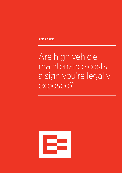RED PAPER

Are high vehicle maintenance costs a sign you're legally exposed?

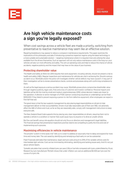

# Are high vehicle maintenance costs a sign you're legally exposed?

## When cost savings across a vehicle fleet are made a priority, switching from preventative to reactive maintenance may seem like an effective solution.

Repairing breakdowns may appear to reduce a company's maintenance requirements. This paper examines the implications of this philosophy and asks if introducing a proactive inspection regime using the latest technology is a more suitable and sustainable solution — targeting maintenance where it is required most and utilising the value available from the drivers themselves. Such an approach will not only reduce maintenance costs in the long run; your vehicles will also run more efficiently and safely. This will cut operating costs and help to reduce the chance of vehicle accidents, negative publicity and the impact that may have on the value of your business.

#### Protecting shareholder value

The Health and Safety at Work Act 2015 requires that work equipment, including vehicles, should not present a risk to health and safety (H&S). Regular inspections and maintenance for vehicles are vital in achieving this. Should a serious accident occur, WorkSafe and/or the police will investigate whether vehicle defects may have caused it. A key part of their investigation will be to review preventative checks, controls and processes along with confirming compliance to them.

As well as the legal exposure a serious accident may cause, WorkSafe prosecutions compromise shareholder value through negative publicity, legal costs, fines and a loss of customer and investor confidence. Personal impacts and liabilities will be felt the most by small and medium-sized enterprises (SME) where decision makers are closer to the operation. A director or senior manager of a PCBU (person conducting a business or undertaking) can be fined \$300,000 if they failed to prevent exposing a person to risk from defective equipment; other employees can expect a fine half that size.

The good news is that the law supports management by also placing legal responsibilities on drivers to help management deliver on their accountabilities. Drivers must take reasonable care of their own H&S, not adversely affect the H&S of others and must, as far as they are reasonably able, comply with management instructions to keep everyone safe.

The New Zealand Road Code supports this by placing very clear responsibilities on drivers, requiring them not to operate a vehicle in a condition or manner that could cause injury to anyone or to drive an unsafe vehicle.

But the cost benefit versus risk equation should not only focus on directors and management's legal liabilities. The financial savings that preventative inspections promise need to be compelling to justify the time and cost of implementing such a process.

### Maximising efficiencies in vehicle maintenance

The proverb "a stitch in time saves nine" tells us it is wiser to address an issue early than to delay and expend far more time and money later. The cost saved by identifying and remedying a fault early on can be substantial.

Fleet Financials estimates that maintenance, repair and tyre costs amount to 25% of the variable vehicle costs for intermediate light vehicles. Cost can be minimised by eliminating, identifying and tackling issues early. And it's not just about vehicle repairs.

Tyresafe calculates that correctly inflated tyres can save 2.5% on fuel bills compared with tyres underinflated by 10 psi. Research by tyre manufacturer Michelin shows that under-inflation can cost an additional \$4,400 per tyre over the course of a tyre's life.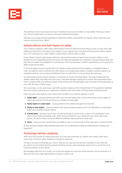

The significant costs to your business of poor maintenance are not just limited to consumables. Picking up a fault in your vehicle's engine early can save you the cost of replacing the engine.

Although cost savings through preventative maintenance deliver a key benefit, can regular vehicle inspections also improve vehicle and driver safety?

### Vehicle defects and their impact on safety

The US National Highway Traffic Safety Administration (NHTSA) determined that vehicles driven on tyres 25% underinflated are three times more likely to be involved in a tyre-related crash compared with those with properly inflated tyres. This is because such under-inflation compromises a vehicle's ability to stop.

Under-inflation impacts safe stopping distances, reducing the window of opportunity to avoid a collision. It also elevates the risk of aquaplaning when driving on wet roads and degrades tyre endurance, causing excessive wear and tear, which increases the probability of a tyre blowout. And it compromises a vehicle's road holding, which reduces the ability to take bends safely.

A Consumer Report study found that 5% of all vehicles studied experienced tyre problems immediately before a crash. Tyre defects, when combined with other factors such as bad road surfaces or weather, excessive speed or an inexperienced driver, can increase the likelihood of loss of control. But it is not just about tyre pressures.

As well as keeping tyres properly inflated, it is important to monitor tyre tread depth. The study showed that tyrerelated crashes were more likely with worn tyres. Crash data indicates crashes with a vehicle with tread depth below 1.6mm constitute 26% of all vehicle accidents while vehicles with full tread depth were more than 10 times less likely, at only 2.4%. But what of other issues?

Not surprisingly, in a two-year study, road traffic accident analysis by the US Department of Transportation identified that most crashes caused by poor maintenance related to tyres and wheels, followed closely by braking issues.

Other key areas where defects could compromise the H&S of your vehicles operation include:

- 1. Faulty lights causing problems both with vision and with being seen. It also compromises a driver's ability to inform other drivers of their intentions e.g. indicators or brake lights.
- 2. Faulty wipers or screen-wash causing problems with visibility through the windscreen.
- 3. Faulty or worn brakes causing problems with reduced braking capacity, and if not attended to, a catastrophic failure and a possible runaway vehicle.
- 4. Cracked glass causing a loss of vision. As well as the loss of a wing mirror, a crack on the windscreen in the driver's line of sight can impede vision. When driving at 100km/hr your vehicle will cover nearly 28m every second. This lack of vision can be the difference between staying safe and a fatal crash.
- 5. Horns losing your horn compromises your ability to warn or communicate to other road users in critical moments.

So how should you address these potential issues, which can compromise the safety and effectiveness of vehicles and equipment?

### Technology delivers simplicity

WOFs and COFs provide no ongoing assurance as to the road worthiness of a vehicle; they merely certify that a vehicle met a minimum safety standard on the day of inspection.

The key to success is to leverage your drivers. They are your eyes and ears and the custodians of your fleet. But you need to convince them that they directly benefit by having a well-maintained vehicle and it is worth their time inspecting vehicles on your behalf.

By leveraging value from your drivers, you involve the people who know the vehicle the best, who use and rely on it daily and who have a legal responsibility to ensure it is safe to use.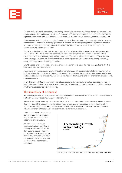

The pace of today's world is constantly accelerating. Technological advances are driving change and demanding ever faster responses. A Canadian study by Microsoft involving 2000 participants reported our attention span as having significantly shortened; from 12 seconds in 2000 to 8 seconds in 2008 – due, it is believed, to the digital revolution.

This staggering reduction in how our brains function can be detrimental to any attempt to embed vehicle inspections via the traditional method of pad and paper checklist. A drawn-out process goes against the dynamism of today's world and will likely lead to it being skipped all together. The driver may run the risk of a crash and you the consequences. So, what is the solution?

The key is as simple as it is beautiful. Use technology itself to solve the problem caused by technology. Telematics providers like EROAD have embraced technology to create mobile apps that allow drivers to conduct vehicle inspections in a simple, straightforward and logical process. EROAD's vehicle inspection product, EROAD Inspect, embraces the principles of user friendly and effective. It also aligns with EROAD core values: leading with safety, acting with integrity and celebrating innovation.

EROAD Inspect offers configurable templates, enabling the customer to create the most appropriate and effective vehicle check for each vehicle type

As the customer, you can decide how brief, simple or complex you want your inspections to be and can mould them to fit the culture of your business and drivers. This makes it far more likely that you will achieve your key deliverables, protecting both liabilities and cost. You can choose the most suitable frequency and opt for either pre-or post-journey checks as preferred.

A vehicle check that fits with your employees' attention spans and which you have confidence in being carried out is infinitely more effective than a paper-based system that delivers little or no real value to support H&S compliance. And this mindset does not just work one way.

### The immediacy of a response

As technology evolves people expect fast responses. Worldwide, it is estimated that more than 2.5 million emails are sent every second. That's a mind boggling 74 trillion a year.

A paper-based system using vehicle inspection forms that are not submitted at the end of the day or even the week flies in the face of this expectation for immediacy. If a driver sees a vehicle defect that needs addressing, taking a photo and sending it immediately to management enables them to visualise it. That must be the way forward. Allowing management to respond in minutes with advice aligns with this approach.



Because EROAD Inspect is a mobile application, information is instantly sent to management for their review and action. Reacting immediately to an issue raised by a driver helps underscore their belief in the inherent value of the vehicle check and encourages ongoing compliance.

04 EROAD Whitepaper • Are high vehicle maintenance costs a sign you're legally exposed?